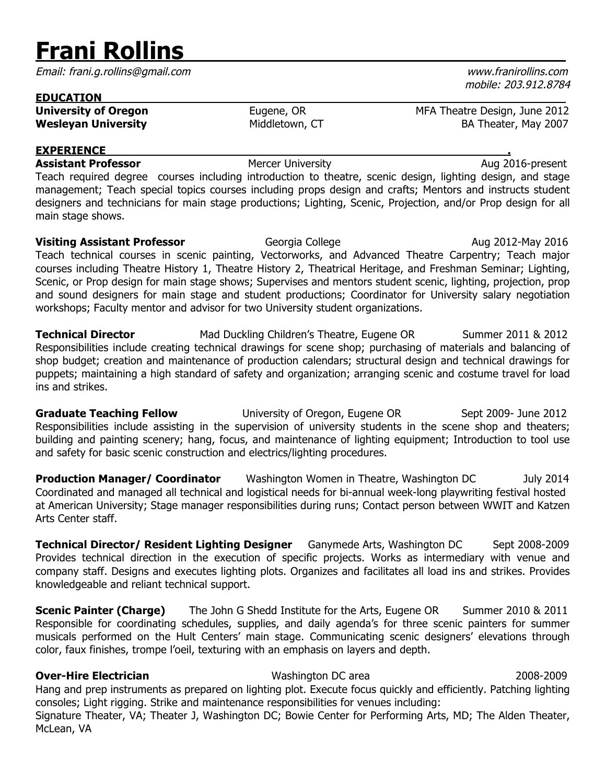# **Frani Rollins** .

Email: frani.g.rollins@gmail.com www.franirollins.com

| <b>EDUCATION</b>            |                |                               |
|-----------------------------|----------------|-------------------------------|
| <b>University of Oregon</b> | Eugene, OR     | MFA Theatre Design, June 2012 |
| <b>Wesleyan University</b>  | Middletown, CT | BA Theater, May 2007          |

## **EXPERIENCE .**

**Assistant Professor Mercer University Aug 2016-present** Teach required degree courses including introduction to theatre, scenic design, lighting design, and stage management; Teach special topics courses including props design and crafts; Mentors and instructs student designers and technicians for main stage productions; Lighting, Scenic, Projection, and/or Prop design for all main stage shows.

**Visiting Assistant Professor Georgia College Aug 2012-May 2016 Aug 2012-May 2016** Teach technical courses in scenic painting, Vectorworks, and Advanced Theatre Carpentry; Teach major courses including Theatre History 1, Theatre History 2, Theatrical Heritage, and Freshman Seminar; Lighting, Scenic, or Prop design for main stage shows; Supervises and mentors student scenic, lighting, projection, prop and sound designers for main stage and student productions; Coordinator for University salary negotiation workshops; Faculty mentor and advisor for two University student organizations.

**Technical Director** Mad Duckling Children's Theatre, Eugene OR Summer 2011 & 2012 Responsibilities include creating technical drawings for scene shop; purchasing of materials and balancing of shop budget; creation and maintenance of production calendars; structural design and technical drawings for puppets; maintaining a high standard of safety and organization; arranging scenic and costume travel for load ins and strikes.

**Graduate Teaching Fellow** University of Oregon, Eugene OR Sept 2009- June 2012 Responsibilities include assisting in the supervision of university students in the scene shop and theaters; building and painting scenery; hang, focus, and maintenance of lighting equipment; Introduction to tool use and safety for basic scenic construction and electrics/lighting procedures.

**Production Manager/ Coordinator** Washington Women in Theatre, Washington DC July 2014 Coordinated and managed all technical and logistical needs for bi-annual week-long playwriting festival hosted at American University; Stage manager responsibilities during runs; Contact person between WWIT and Katzen Arts Center staff.

**Technical Director/ Resident Lighting Designer** Ganymede Arts, Washington DC Sept 2008-2009 Provides technical direction in the execution of specific projects. Works as intermediary with venue and company staff. Designs and executes lighting plots. Organizes and facilitates all load ins and strikes. Provides knowledgeable and reliant technical support.

**Scenic Painter (Charge)** The John G Shedd Institute for the Arts, Eugene OR Summer 2010 & 2011 Responsible for coordinating schedules, supplies, and daily agenda's for three scenic painters for summer musicals performed on the Hult Centers' main stage. Communicating scenic designers' elevations through color, faux finishes, trompe l'oeil, texturing with an emphasis on layers and depth.

## **Over-Hire Electrician** Washington DC area 2008-2009

Hang and prep instruments as prepared on lighting plot. Execute focus quickly and efficiently. Patching lighting consoles; Light rigging. Strike and maintenance responsibilities for venues including:

Signature Theater, VA; Theater J, Washington DC; Bowie Center for Performing Arts, MD; The Alden Theater, McLean, VA

mobile: 203.912.8784